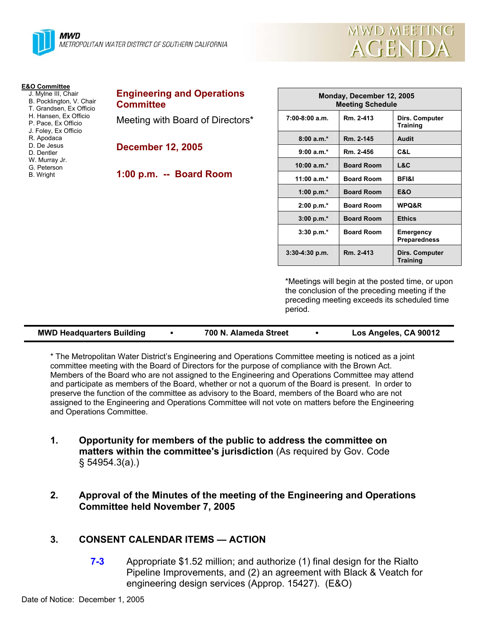

| <b>E&amp;O Committee</b> |  |  |  |  |  |  |
|--------------------------|--|--|--|--|--|--|
|                          |  |  |  |  |  |  |

- J. Mylne III, Chair
- B. Pocklington, V. Chair T. Grandsen, Ex Officio
- H. Hansen, Ex Officio
- P. Pace, Ex Officio
- J. Foley, Ex Officio
- R. Apodaca
- D. De Jesus
- D. Dentler
- W. Murray Jr.
- G. Peterson
- B. Wright

| <b>Engineering and Operations</b> |  |
|-----------------------------------|--|
| <b>Committee</b>                  |  |

Meeting with Board of Directors\*

**December 12, 2005** 

**1:00 p.m. -- Board Room** 

| Monday, December 12, 2005<br><b>Meeting Schedule</b> |                   |                                   |  |  |  |
|------------------------------------------------------|-------------------|-----------------------------------|--|--|--|
| $7:00-8:00$ a.m.                                     | Rm. 2-413         | Dirs. Computer<br><b>Training</b> |  |  |  |
| $8:00a.m.*$                                          | Rm. 2-145         | <b>Audit</b>                      |  |  |  |
| $9:00 a.m.*$                                         | Rm. 2-456         | C&L                               |  |  |  |
| $10:00 a.m.*$                                        | <b>Board Room</b> | L&C                               |  |  |  |
| $11:00 a.m.*$                                        | <b>Board Room</b> | <b>BFI&amp;I</b>                  |  |  |  |
| 1:00 p.m. $*$                                        | <b>Board Room</b> | <b>E&amp;O</b>                    |  |  |  |
| $2:00 p.m.*$                                         | <b>Board Room</b> | WPQ&R                             |  |  |  |
| $3:00 p.m.*$                                         | <b>Board Room</b> | <b>Ethics</b>                     |  |  |  |
| $3:30 p.m.*$                                         | <b>Board Room</b> | Emergency<br><b>Preparedness</b>  |  |  |  |
| $3:30-4:30$ p.m.                                     | Rm. 2-413         | Dirs. Computer<br><b>Training</b> |  |  |  |

mwd meeting

**AGENDA** 

\*Meetings will begin at the posted time, or upon the conclusion of the preceding meeting if the preceding meeting exceeds its scheduled time period.

\* The Metropolitan Water District's Engineering and Operations Committee meeting is noticed as a joint committee meeting with the Board of Directors for the purpose of compliance with the Brown Act. Members of the Board who are not assigned to the Engineering and Operations Committee may attend and participate as members of the Board, whether or not a quorum of the Board is present. In order to preserve the function of the committee as advisory to the Board, members of the Board who are not assigned to the Engineering and Operations Committee will not vote on matters before the Engineering and Operations Committee.

- **1. Opportunity for members of the public to address the committee on matters within the committee's jurisdiction** (As required by Gov. Code § 54954.3(a).)
- **2. Approval of the Minutes of the meeting of the Engineering and Operations Committee held November 7, 2005**

## **3. CONSENT CALENDAR ITEMS — ACTION**

**7-3** Appropriate \$1.52 million; and authorize (1) final design for the Rialto Pipeline Improvements, and (2) an agreement with Black & Veatch for engineering design services (Approp. 15427). (E&O)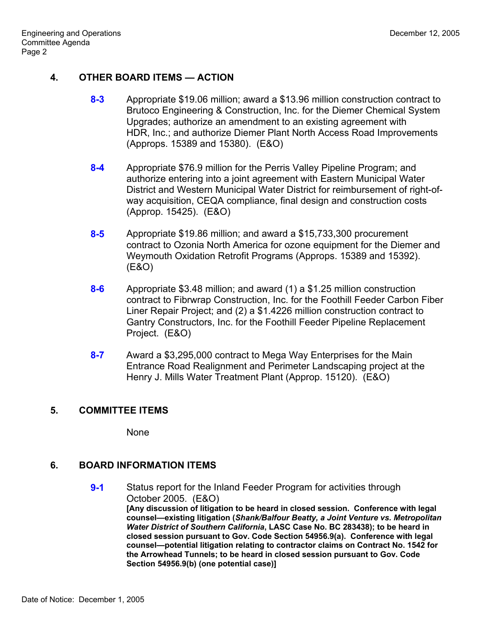# **4. OTHER BOARD ITEMS — ACTION**

- **8-3** Appropriate \$19.06 million; award a \$13.96 million construction contract to Brutoco Engineering & Construction, Inc. for the Diemer Chemical System Upgrades; authorize an amendment to an existing agreement with HDR, Inc.; and authorize Diemer Plant North Access Road Improvements (Approps. 15389 and 15380). (E&O)
- **8-4** Appropriate \$76.9 million for the Perris Valley Pipeline Program; and authorize entering into a joint agreement with Eastern Municipal Water District and Western Municipal Water District for reimbursement of right-ofway acquisition, CEQA compliance, final design and construction costs (Approp. 15425). (E&O)
- **8-5** Appropriate \$19.86 million; and award a \$15,733,300 procurement contract to Ozonia North America for ozone equipment for the Diemer and Weymouth Oxidation Retrofit Programs (Approps. 15389 and 15392). (E&O)
- **8-6** Appropriate \$3.48 million; and award (1) a \$1.25 million construction contract to Fibrwrap Construction, Inc. for the Foothill Feeder Carbon Fiber Liner Repair Project; and (2) a \$1.4226 million construction contract to Gantry Constructors, Inc. for the Foothill Feeder Pipeline Replacement Project. (E&O)
- **8-7** Award a \$3,295,000 contract to Mega Way Enterprises for the Main Entrance Road Realignment and Perimeter Landscaping project at the Henry J. Mills Water Treatment Plant (Approp. 15120). (E&O)

# **5. COMMITTEE ITEMS**

None

## **6. BOARD INFORMATION ITEMS**

**9-1** Status report for the Inland Feeder Program for activities through October 2005. (E&O) **[Any discussion of litigation to be heard in closed session. Conference with legal counsel—existing litigation (***Shank/Balfour Beatty, a Joint Venture vs. Metropolitan Water District of Southern California***, LASC Case No. BC 283438); to be heard in closed session pursuant to Gov. Code Section 54956.9(a). Conference with legal counsel—potential litigation relating to contractor claims on Contract No. 1542 for the Arrowhead Tunnels; to be heard in closed session pursuant to Gov. Code Section 54956.9(b) (one potential case)]**